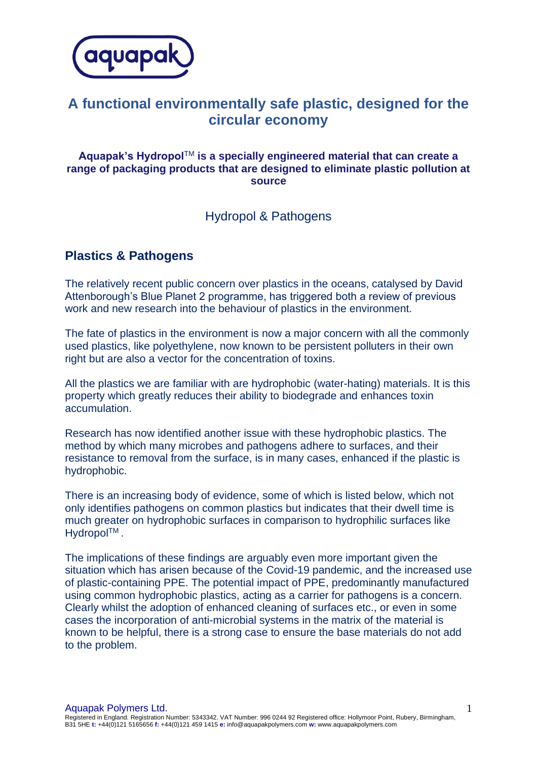

# **A functional environmentally safe plastic, designed for the circular economy**

#### **Aquapak's Hydropol**TM **is a specially engineered material that can create a range of packaging products that are designed to eliminate plastic pollution at source**

### Hydropol & Pathogens

### **Plastics & Pathogens**

The relatively recent public concern over plastics in the oceans, catalysed by David Attenborough's Blue Planet 2 programme, has triggered both a review of previous work and new research into the behaviour of plastics in the environment.

The fate of plastics in the environment is now a major concern with all the commonly used plastics, like polyethylene, now known to be persistent polluters in their own right but are also a vector for the concentration of toxins.

All the plastics we are familiar with are hydrophobic (water-hating) materials. It is this property which greatly reduces their ability to biodegrade and enhances toxin accumulation.

Research has now identified another issue with these hydrophobic plastics. The method by which many microbes and pathogens adhere to surfaces, and their resistance to removal from the surface, is in many cases, enhanced if the plastic is hydrophobic.

There is an increasing body of evidence, some of which is listed below, which not only identifies pathogens on common plastics but indicates that their dwell time is much greater on hydrophobic surfaces in comparison to hydrophilic surfaces like Hydropol™.

The implications of these findings are arguably even more important given the situation which has arisen because of the Covid-19 pandemic, and the increased use of plastic-containing PPE. The potential impact of PPE, predominantly manufactured using common hydrophobic plastics, acting as a carrier for pathogens is a concern. Clearly whilst the adoption of enhanced cleaning of surfaces etc., or even in some cases the incorporation of anti-microbial systems in the matrix of the material is known to be helpful, there is a strong case to ensure the base materials do not add to the problem.